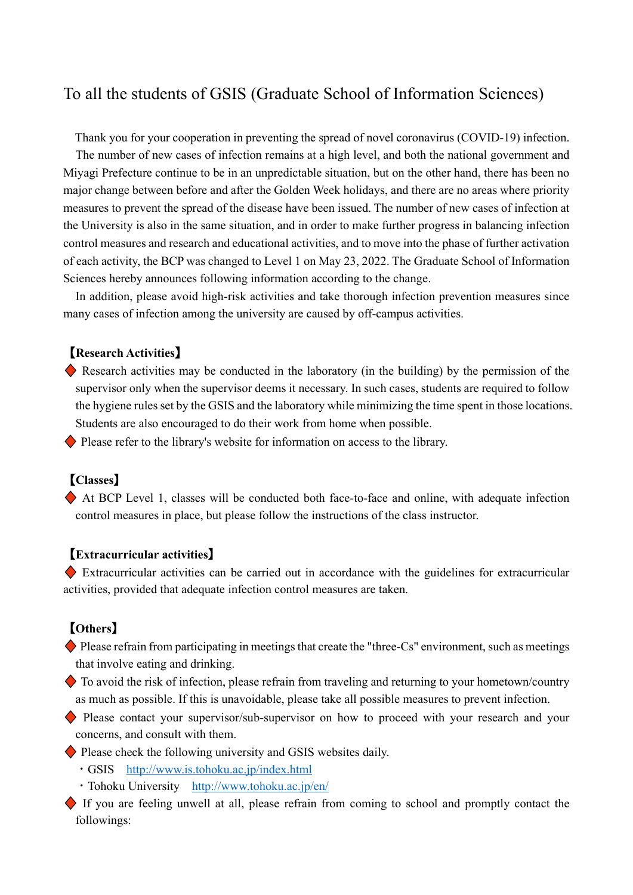# To all the students of GSIS (Graduate School of Information Sciences)

Thank you for your cooperation in preventing the spread of novel coronavirus (COVID-19) infection. The number of new cases of infection remains at a high level, and both the national government and Miyagi Prefecture continue to be in an unpredictable situation, but on the other hand, there has been no major change between before and after the Golden Week holidays, and there are no areas where priority measures to prevent the spread of the disease have been issued. The number of new cases of infection at the University is also in the same situation, and in order to make further progress in balancing infection control measures and research and educational activities, and to move into the phase of further activation of each activity, the BCP was changed to Level 1 on May 23, 2022. The Graduate School of Information Sciences hereby announces following information according to the change.

In addition, please avoid high-risk activities and take thorough infection prevention measures since many cases of infection among the university are caused by off-campus activities.

#### 【**Research Activities**】

�� Research activities may be conducted in the laboratory (in the building) by the permission of the supervisor only when the supervisor deems it necessary. In such cases, students are required to follow the hygiene rules set by the GSIS and the laboratory while minimizing the time spent in those locations. Students are also encouraged to do their work from home when possible.

◆ Please refer to the library's website for information on access to the library.

## 【**Classes**】

�� At BCP Level 1, classes will be conducted both face-to-face and online, with adequate infection control measures in place, but please follow the instructions of the class instructor.

#### 【**Extracurricular activities**】

�� Extracurricular activities can be carried out in accordance with the guidelines for extracurricular activities, provided that adequate infection control measures are taken.

## 【**Others**】

- $\blacklozenge$  Please refrain from participating in meetings that create the "three-Cs" environment, such as meetings that involve eating and drinking.
- $\bullet$  To avoid the risk of infection, please refrain from traveling and returning to your hometown/country as much as possible. If this is unavoidable, please take all possible measures to prevent infection.

◆ Please contact your supervisor/sub-supervisor on how to proceed with your research and your concerns, and consult with them.

◆ Please check the following university and GSIS websites daily.

- ・GSIS <http://www.is.tohoku.ac.jp/index.html>
- ・Tohoku University <http://www.tohoku.ac.jp/en/>
- �� If you are feeling unwell at all, please refrain from coming to school and promptly contact the followings: